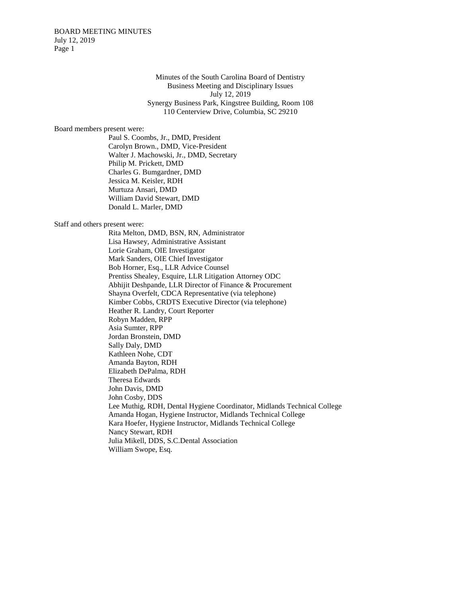BOARD MEETING MINUTES July 12, 2019 Page 1

> Minutes of the South Carolina Board of Dentistry Business Meeting and Disciplinary Issues July 12, 2019 Synergy Business Park, Kingstree Building, Room 108 110 Centerview Drive, Columbia, SC 29210

Board members present were:

Paul S. Coombs, Jr., DMD, President Carolyn Brown., DMD, Vice-President Walter J. Machowski, Jr., DMD, Secretary Philip M. Prickett, DMD Charles G. Bumgardner, DMD Jessica M. Keisler, RDH Murtuza Ansari, DMD William David Stewart, DMD Donald L. Marler, DMD

Staff and others present were:

Rita Melton, DMD, BSN, RN, Administrator Lisa Hawsey, Administrative Assistant Lorie Graham, OIE Investigator Mark Sanders, OIE Chief Investigator Bob Horner, Esq., LLR Advice Counsel Prentiss Shealey, Esquire, LLR Litigation Attorney ODC Abhijit Deshpande, LLR Director of Finance & Procurement Shayna Overfelt, CDCA Representative (via telephone) Kimber Cobbs, CRDTS Executive Director (via telephone) Heather R. Landry, Court Reporter Robyn Madden, RPP Asia Sumter, RPP Jordan Bronstein, DMD Sally Daly, DMD Kathleen Nohe, CDT Amanda Bayton, RDH Elizabeth DePalma, RDH Theresa Edwards John Davis, DMD John Cosby, DDS Lee Muthig, RDH, Dental Hygiene Coordinator, Midlands Technical College Amanda Hogan, Hygiene Instructor, Midlands Technical College Kara Hoefer, Hygiene Instructor, Midlands Technical College Nancy Stewart, RDH Julia Mikell, DDS, S.C.Dental Association William Swope, Esq.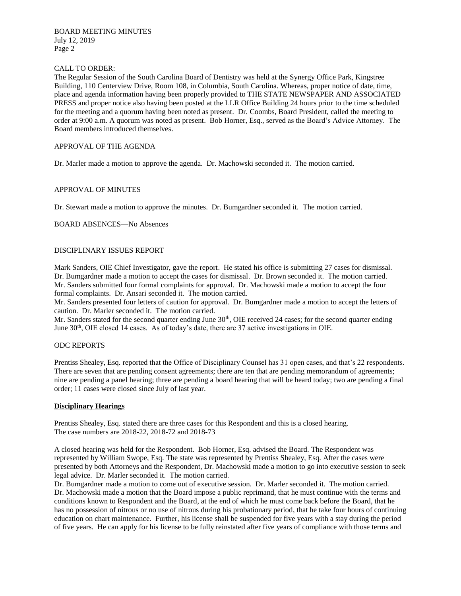### CALL TO ORDER:

The Regular Session of the South Carolina Board of Dentistry was held at the Synergy Office Park, Kingstree Building, 110 Centerview Drive, Room 108, in Columbia, South Carolina. Whereas, proper notice of date, time, place and agenda information having been properly provided to THE STATE NEWSPAPER AND ASSOCIATED PRESS and proper notice also having been posted at the LLR Office Building 24 hours prior to the time scheduled for the meeting and a quorum having been noted as present. Dr. Coombs, Board President, called the meeting to order at 9:00 a.m. A quorum was noted as present. Bob Horner, Esq., served as the Board's Advice Attorney. The Board members introduced themselves.

### APPROVAL OF THE AGENDA

Dr. Marler made a motion to approve the agenda. Dr. Machowski seconded it. The motion carried.

## APPROVAL OF MINUTES

Dr. Stewart made a motion to approve the minutes. Dr. Bumgardner seconded it. The motion carried.

#### BOARD ABSENCES—No Absences

## DISCIPLINARY ISSUES REPORT

Mark Sanders, OIE Chief Investigator, gave the report. He stated his office is submitting 27 cases for dismissal. Dr. Bumgardner made a motion to accept the cases for dismissal. Dr. Brown seconded it. The motion carried. Mr. Sanders submitted four formal complaints for approval. Dr. Machowski made a motion to accept the four formal complaints. Dr. Ansari seconded it. The motion carried.

Mr. Sanders presented four letters of caution for approval. Dr. Bumgardner made a motion to accept the letters of caution. Dr. Marler seconded it. The motion carried.

Mr. Sanders stated for the second quarter ending June 30<sup>th</sup>, OIE received 24 cases; for the second quarter ending June 30<sup>th</sup>, OIE closed 14 cases. As of today's date, there are 37 active investigations in OIE.

#### ODC REPORTS

Prentiss Shealey, Esq. reported that the Office of Disciplinary Counsel has 31 open cases, and that's 22 respondents. There are seven that are pending consent agreements; there are ten that are pending memorandum of agreements; nine are pending a panel hearing; three are pending a board hearing that will be heard today; two are pending a final order; 11 cases were closed since July of last year.

## **Disciplinary Hearings**

Prentiss Shealey, Esq. stated there are three cases for this Respondent and this is a closed hearing. The case numbers are 2018-22, 2018-72 and 2018-73

A closed hearing was held for the Respondent. Bob Horner, Esq. advised the Board. The Respondent was represented by William Swope, Esq. The state was represented by Prentiss Shealey, Esq. After the cases were presented by both Attorneys and the Respondent, Dr. Machowski made a motion to go into executive session to seek legal advice. Dr. Marler seconded it. The motion carried.

Dr. Bumgardner made a motion to come out of executive session. Dr. Marler seconded it. The motion carried. Dr. Machowski made a motion that the Board impose a public reprimand, that he must continue with the terms and conditions known to Respondent and the Board, at the end of which he must come back before the Board, that he has no possession of nitrous or no use of nitrous during his probationary period, that he take four hours of continuing education on chart maintenance. Further, his license shall be suspended for five years with a stay during the period of five years. He can apply for his license to be fully reinstated after five years of compliance with those terms and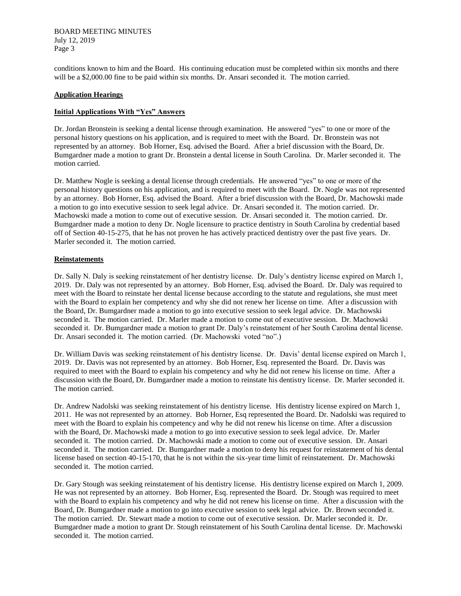BOARD MEETING MINUTES July 12, 2019 Page 3

conditions known to him and the Board. His continuing education must be completed within six months and there will be a \$2,000.00 fine to be paid within six months. Dr. Ansari seconded it. The motion carried.

### **Application Hearings**

# **Initial Applications With "Yes" Answers**

Dr. Jordan Bronstein is seeking a dental license through examination. He answered "yes" to one or more of the personal history questions on his application, and is required to meet with the Board. Dr. Bronstein was not represented by an attorney. Bob Horner, Esq. advised the Board. After a brief discussion with the Board, Dr. Bumgardner made a motion to grant Dr. Bronstein a dental license in South Carolina. Dr. Marler seconded it. The motion carried.

Dr. Matthew Nogle is seeking a dental license through credentials. He answered "yes" to one or more of the personal history questions on his application, and is required to meet with the Board. Dr. Nogle was not represented by an attorney. Bob Horner, Esq. advised the Board. After a brief discussion with the Board, Dr. Machowski made a motion to go into executive session to seek legal advice. Dr. Ansari seconded it. The motion carried. Dr. Machowski made a motion to come out of executive session. Dr. Ansari seconded it. The motion carried. Dr. Bumgardner made a motion to deny Dr. Nogle licensure to practice dentistry in South Carolina by credential based off of Section 40-15-275, that he has not proven he has actively practiced dentistry over the past five years. Dr. Marler seconded it. The motion carried.

## **Reinstatements**

Dr. Sally N. Daly is seeking reinstatement of her dentistry license. Dr. Daly's dentistry license expired on March 1, 2019. Dr. Daly was not represented by an attorney. Bob Horner, Esq. advised the Board. Dr. Daly was required to meet with the Board to reinstate her dental license because according to the statute and regulations, she must meet with the Board to explain her competency and why she did not renew her license on time. After a discussion with the Board, Dr. Bumgardner made a motion to go into executive session to seek legal advice. Dr. Machowski seconded it. The motion carried. Dr. Marler made a motion to come out of executive session. Dr. Machowski seconded it. Dr. Bumgardner made a motion to grant Dr. Daly's reinstatement of her South Carolina dental license. Dr. Ansari seconded it. The motion carried. (Dr. Machowski voted "no".)

Dr. William Davis was seeking reinstatement of his dentistry license. Dr. Davis' dental license expired on March 1, 2019. Dr. Davis was not represented by an attorney. Bob Horner, Esq. represented the Board. Dr. Davis was required to meet with the Board to explain his competency and why he did not renew his license on time. After a discussion with the Board, Dr. Bumgardner made a motion to reinstate his dentistry license. Dr. Marler seconded it. The motion carried.

Dr. Andrew Nadolski was seeking reinstatement of his dentistry license. His dentistry license expired on March 1, 2011. He was not represented by an attorney. Bob Horner, Esq represented the Board. Dr. Nadolski was required to meet with the Board to explain his competency and why he did not renew his license on time. After a discussion with the Board, Dr. Machowski made a motion to go into executive session to seek legal advice. Dr. Marler seconded it. The motion carried. Dr. Machowski made a motion to come out of executive session. Dr. Ansari seconded it. The motion carried. Dr. Bumgardner made a motion to deny his request for reinstatement of his dental license based on section 40-15-170, that he is not within the six-year time limit of reinstatement. Dr. Machowski seconded it. The motion carried.

Dr. Gary Stough was seeking reinstatement of his dentistry license. His dentistry license expired on March 1, 2009. He was not represented by an attorney. Bob Horner, Esq. represented the Board. Dr. Stough was required to meet with the Board to explain his competency and why he did not renew his license on time. After a discussion with the Board, Dr. Bumgardner made a motion to go into executive session to seek legal advice. Dr. Brown seconded it. The motion carried. Dr. Stewart made a motion to come out of executive session. Dr. Marler seconded it. Dr. Bumgardner made a motion to grant Dr. Stough reinstatement of his South Carolina dental license. Dr. Machowski seconded it. The motion carried.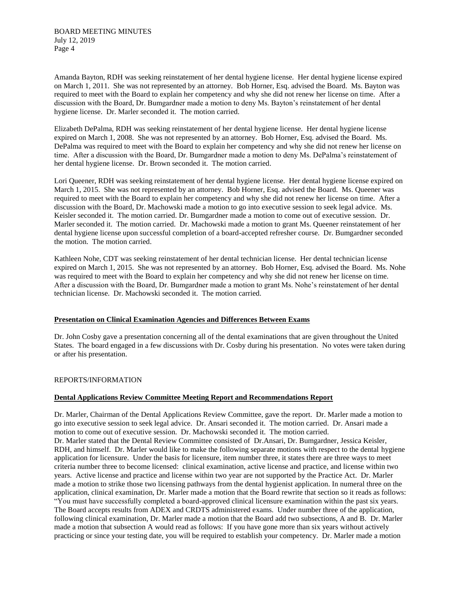Amanda Bayton, RDH was seeking reinstatement of her dental hygiene license. Her dental hygiene license expired on March 1, 2011. She was not represented by an attorney. Bob Horner, Esq. advised the Board. Ms. Bayton was required to meet with the Board to explain her competency and why she did not renew her license on time. After a discussion with the Board, Dr. Bumgardner made a motion to deny Ms. Bayton's reinstatement of her dental hygiene license. Dr. Marler seconded it. The motion carried.

Elizabeth DePalma, RDH was seeking reinstatement of her dental hygiene license. Her dental hygiene license expired on March 1, 2008. She was not represented by an attorney. Bob Horner, Esq. advised the Board. Ms. DePalma was required to meet with the Board to explain her competency and why she did not renew her license on time. After a discussion with the Board, Dr. Bumgardner made a motion to deny Ms. DePalma's reinstatement of her dental hygiene license. Dr. Brown seconded it. The motion carried.

Lori Queener, RDH was seeking reinstatement of her dental hygiene license. Her dental hygiene license expired on March 1, 2015. She was not represented by an attorney. Bob Horner, Esq. advised the Board. Ms. Queener was required to meet with the Board to explain her competency and why she did not renew her license on time. After a discussion with the Board, Dr. Machowski made a motion to go into executive session to seek legal advice. Ms. Keisler seconded it. The motion carried. Dr. Bumgardner made a motion to come out of executive session. Dr. Marler seconded it. The motion carried. Dr. Machowski made a motion to grant Ms. Queener reinstatement of her dental hygiene license upon successful completion of a board-accepted refresher course. Dr. Bumgardner seconded the motion. The motion carried.

Kathleen Nohe, CDT was seeking reinstatement of her dental technician license. Her dental technician license expired on March 1, 2015. She was not represented by an attorney. Bob Horner, Esq. advised the Board. Ms. Nohe was required to meet with the Board to explain her competency and why she did not renew her license on time. After a discussion with the Board, Dr. Bumgardner made a motion to grant Ms. Nohe's reinstatement of her dental technician license. Dr. Machowski seconded it. The motion carried.

#### **Presentation on Clinical Examination Agencies and Differences Between Exams**

Dr. John Cosby gave a presentation concerning all of the dental examinations that are given throughout the United States. The board engaged in a few discussions with Dr. Cosby during his presentation. No votes were taken during or after his presentation.

#### REPORTS/INFORMATION

# **Dental Applications Review Committee Meeting Report and Recommendations Report**

Dr. Marler, Chairman of the Dental Applications Review Committee, gave the report. Dr. Marler made a motion to go into executive session to seek legal advice. Dr. Ansari seconded it. The motion carried. Dr. Ansari made a motion to come out of executive session. Dr. Machowski seconded it. The motion carried. Dr. Marler stated that the Dental Review Committee consisted of Dr.Ansari, Dr. Bumgardner, Jessica Keisler, RDH, and himself. Dr. Marler would like to make the following separate motions with respect to the dental hygiene application for licensure. Under the basis for licensure, item number three, it states there are three ways to meet criteria number three to become licensed: clinical examination, active license and practice, and license within two years. Active license and practice and license within two year are not supported by the Practice Act. Dr. Marler made a motion to strike those two licensing pathways from the dental hygienist application. In numeral three on the application, clinical examination, Dr. Marler made a motion that the Board rewrite that section so it reads as follows: "You must have successfully completed a board-approved clinical licensure examination within the past six years. The Board accepts results from ADEX and CRDTS administered exams. Under number three of the application, following clinical examination, Dr. Marler made a motion that the Board add two subsections, A and B. Dr. Marler made a motion that subsection A would read as follows: If you have gone more than six years without actively practicing or since your testing date, you will be required to establish your competency. Dr. Marler made a motion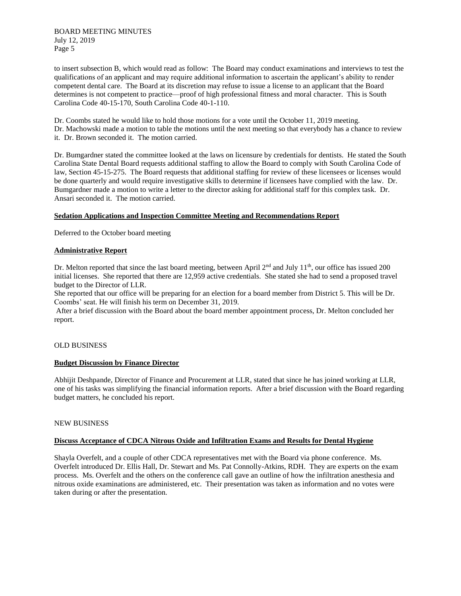to insert subsection B, which would read as follow: The Board may conduct examinations and interviews to test the qualifications of an applicant and may require additional information to ascertain the applicant's ability to render competent dental care. The Board at its discretion may refuse to issue a license to an applicant that the Board determines is not competent to practice—proof of high professional fitness and moral character. This is South Carolina Code 40-15-170, South Carolina Code 40-1-110.

Dr. Coombs stated he would like to hold those motions for a vote until the October 11, 2019 meeting. Dr. Machowski made a motion to table the motions until the next meeting so that everybody has a chance to review it. Dr. Brown seconded it. The motion carried.

Dr. Bumgardner stated the committee looked at the laws on licensure by credentials for dentists. He stated the South Carolina State Dental Board requests additional staffing to allow the Board to comply with South Carolina Code of law, Section 45-15-275. The Board requests that additional staffing for review of these licensees or licenses would be done quarterly and would require investigative skills to determine if licensees have complied with the law. Dr. Bumgardner made a motion to write a letter to the director asking for additional staff for this complex task. Dr. Ansari seconded it. The motion carried.

## **Sedation Applications and Inspection Committee Meeting and Recommendations Report**

Deferred to the October board meeting

## **Administrative Report**

Dr. Melton reported that since the last board meeting, between April  $2<sup>nd</sup>$  and July  $11<sup>th</sup>$ , our office has issued 200 initial licenses. She reported that there are 12,959 active credentials. She stated she had to send a proposed travel budget to the Director of LLR.

She reported that our office will be preparing for an election for a board member from District 5. This will be Dr. Coombs' seat. He will finish his term on December 31, 2019.

After a brief discussion with the Board about the board member appointment process, Dr. Melton concluded her report.

#### OLD BUSINESS

#### **Budget Discussion by Finance Director**

Abhijit Deshpande, Director of Finance and Procurement at LLR, stated that since he has joined working at LLR, one of his tasks was simplifying the financial information reports. After a brief discussion with the Board regarding budget matters, he concluded his report.

#### NEW BUSINESS

## **Discuss Acceptance of CDCA Nitrous Oxide and Infiltration Exams and Results for Dental Hygiene**

Shayla Overfelt, and a couple of other CDCA representatives met with the Board via phone conference. Ms. Overfelt introduced Dr. Ellis Hall, Dr. Stewart and Ms. Pat Connolly-Atkins, RDH. They are experts on the exam process. Ms. Overfelt and the others on the conference call gave an outline of how the infiltration anesthesia and nitrous oxide examinations are administered, etc. Their presentation was taken as information and no votes were taken during or after the presentation.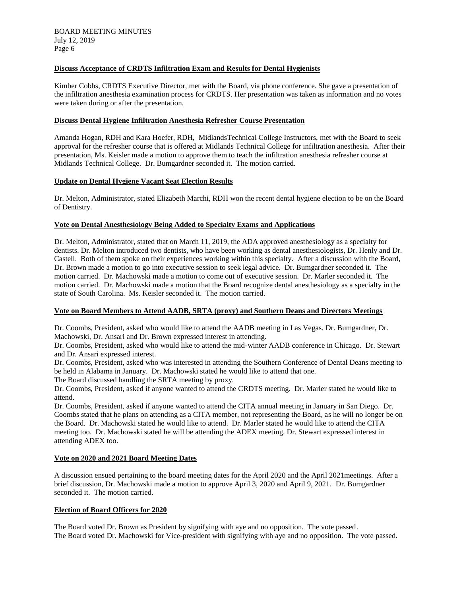# **Discuss Acceptance of CRDTS Infiltration Exam and Results for Dental Hygienists**

Kimber Cobbs, CRDTS Executive Director, met with the Board, via phone conference. She gave a presentation of the infiltration anesthesia examination process for CRDTS. Her presentation was taken as information and no votes were taken during or after the presentation.

### **Discuss Dental Hygiene Infiltration Anesthesia Refresher Course Presentation**

Amanda Hogan, RDH and Kara Hoefer, RDH, MidlandsTechnical College Instructors, met with the Board to seek approval for the refresher course that is offered at Midlands Technical College for infiltration anesthesia. After their presentation, Ms. Keisler made a motion to approve them to teach the infiltration anesthesia refresher course at Midlands Technical College. Dr. Bumgardner seconded it. The motion carried.

## **Update on Dental Hygiene Vacant Seat Election Results**

Dr. Melton, Administrator, stated Elizabeth Marchi, RDH won the recent dental hygiene election to be on the Board of Dentistry.

### **Vote on Dental Anesthesiology Being Added to Specialty Exams and Applications**

Dr. Melton, Administrator, stated that on March 11, 2019, the ADA approved anesthesiology as a specialty for dentists. Dr. Melton introduced two dentists, who have been working as dental anesthesiologists, Dr. Henly and Dr. Castell. Both of them spoke on their experiences working within this specialty. After a discussion with the Board, Dr. Brown made a motion to go into executive session to seek legal advice. Dr. Bumgardner seconded it. The motion carried. Dr. Machowski made a motion to come out of executive session. Dr. Marler seconded it. The motion carried. Dr. Machowski made a motion that the Board recognize dental anesthesiology as a specialty in the state of South Carolina. Ms. Keisler seconded it. The motion carried.

# **Vote on Board Members to Attend AADB, SRTA (proxy) and Southern Deans and Directors Meetings**

Dr. Coombs, President, asked who would like to attend the AADB meeting in Las Vegas. Dr. Bumgardner, Dr. Machowski, Dr. Ansari and Dr. Brown expressed interest in attending.

Dr. Coombs, President, asked who would like to attend the mid-winter AADB conference in Chicago. Dr. Stewart and Dr. Ansari expressed interest.

Dr. Coombs, President, asked who was interested in attending the Southern Conference of Dental Deans meeting to be held in Alabama in January. Dr. Machowski stated he would like to attend that one.

The Board discussed handling the SRTA meeting by proxy.

Dr. Coombs, President, asked if anyone wanted to attend the CRDTS meeting. Dr. Marler stated he would like to attend.

Dr. Coombs, President, asked if anyone wanted to attend the CITA annual meeting in January in San Diego. Dr. Coombs stated that he plans on attending as a CITA member, not representing the Board, as he will no longer be on the Board. Dr. Machowski stated he would like to attend. Dr. Marler stated he would like to attend the CITA meeting too. Dr. Machowski stated he will be attending the ADEX meeting. Dr. Stewart expressed interest in attending ADEX too.

## **Vote on 2020 and 2021 Board Meeting Dates**

A discussion ensued pertaining to the board meeting dates for the April 2020 and the April 2021meetings. After a brief discussion, Dr. Machowski made a motion to approve April 3, 2020 and April 9, 2021. Dr. Bumgardner seconded it. The motion carried.

### **Election of Board Officers for 2020**

The Board voted Dr. Brown as President by signifying with aye and no opposition. The vote passed. The Board voted Dr. Machowski for Vice-president with signifying with aye and no opposition. The vote passed.